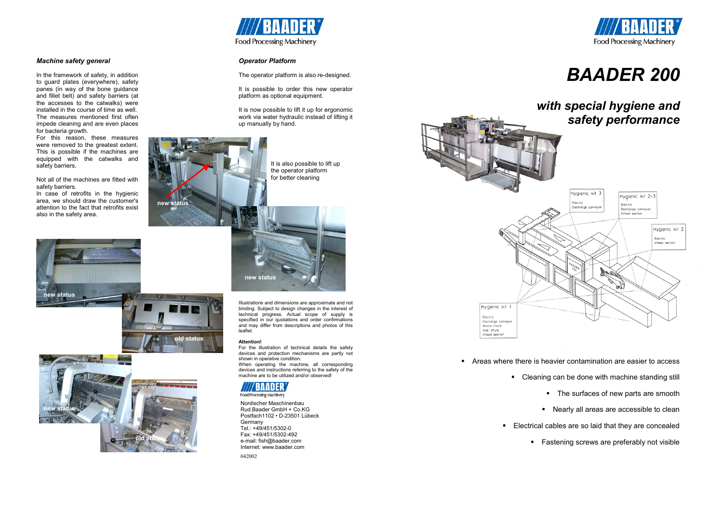

# *Machine safety general*

For this reason, these measures were removed to the greatest extent. This is possible if the machines are equipped with the catwalks and safety barriers.

In the framework of safety, in addition to guard plates (everywhere), safety panes (in way of the bone guidance and fillet belt) and safety barriers (at the accesses to the catwalks) were installed in the course of time as well. The measures mentioned first often impede cleaning and are even places for bacteria growth.

Not all of the machines are fitted with safety barriers.

In case of retrofits in the hygienic area, we should draw the customer's attention to the fact that retrofits exist also in the safety area.

> -Areas where there is heavier contamination are easier to access -Cleaning can be done with machine standing still -The surfaces of new parts are smooth -Nearly all areas are accessible to clean ■ Electrical cables are so laid that they are concealed dd status a *Fastening* screws are preferably not visible **old status are preferably not visible or old status are preferably not visible**

- -
- -



# *Operator Platform*

The operator platform is also re-designed.

It is possible to order this new operator platform as optional equipment.

It is now possible to lift it up for ergonomic work via water hydraulic instead of lifting it up manually by hand.

Illustrations and dimensions are approximate and not



### **Attention!**

 For the illustration of technical details the safety devices and protection mechanisms are partly not shown in operative condition. When operating the machine, all corresponding devices and instructions referring to the safety of the machine are to be utilized and/or observed!



Food Processing Machinery

Nordischer Maschinenbau Rud.Baader GmbH + Co.KG Postfach1102 • D-23501 Lübeck Germany Tel.: +49/451/5302-0 Fax: +49/451/5302-492 e-mail: fish@baader.com Internet: www.baader.com 042002

# *BAADER 200*

# *with special hygiene and*



**new status** 









It is also possible to lift up the operator platform for better cleaning